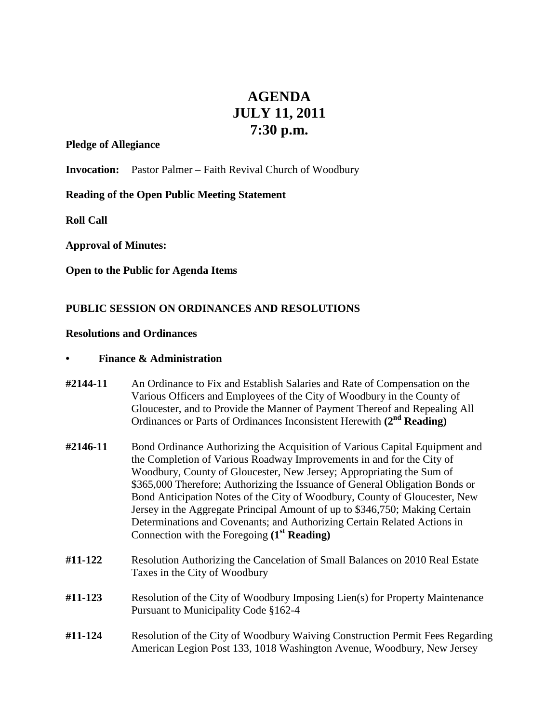# **AGENDA JULY 11, 2011 7:30 p.m.**

#### **Pledge of Allegiance**

**Invocation:** Pastor Palmer – Faith Revival Church of Woodbury

## **Reading of the Open Public Meeting Statement**

**Roll Call**

**Approval of Minutes:**

**Open to the Public for Agenda Items**

## **PUBLIC SESSION ON ORDINANCES AND RESOLUTIONS**

#### **Resolutions and Ordinances**

### **• Finance & Administration**

- **#2144-11** An Ordinance to Fix and Establish Salaries and Rate of Compensation on the Various Officers and Employees of the City of Woodbury in the County of Gloucester, and to Provide the Manner of Payment Thereof and Repealing All Ordinances or Parts of Ordinances Inconsistent Herewith **(2nd Reading)**
- **#2146-11** Bond Ordinance Authorizing the Acquisition of Various Capital Equipment and the Completion of Various Roadway Improvements in and for the City of Woodbury, County of Gloucester, New Jersey; Appropriating the Sum of \$365,000 Therefore; Authorizing the Issuance of General Obligation Bonds or Bond Anticipation Notes of the City of Woodbury, County of Gloucester, New Jersey in the Aggregate Principal Amount of up to \$346,750; Making Certain Determinations and Covenants; and Authorizing Certain Related Actions in Connection with the Foregoing **(1st Reading)**
- **#11-122** Resolution Authorizing the Cancelation of Small Balances on 2010 Real Estate Taxes in the City of Woodbury
- **#11-123** Resolution of the City of Woodbury Imposing Lien(s) for Property Maintenance Pursuant to Municipality Code §162-4
- **#11-124** Resolution of the City of Woodbury Waiving Construction Permit Fees Regarding American Legion Post 133, 1018 Washington Avenue, Woodbury, New Jersey